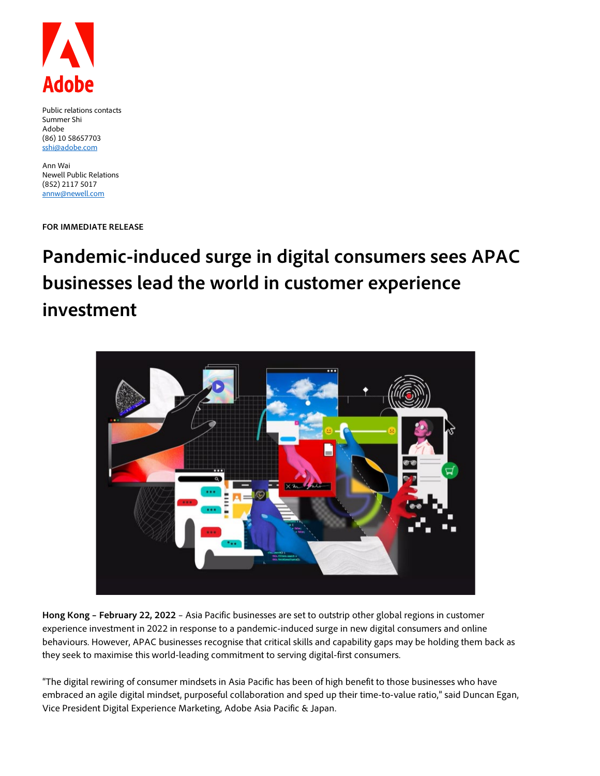

Public relations contacts Summer Shi Adobe (86) 10 58657703 [sshi@adobe.com](mailto:sshi@adobe.com)

Ann Wai Newell Public Relations (852) 2117 5017 [annw@newell.com](mailto:annw@newell.com)

**FOR IMMEDIATE RELEASE**

# **Pandemic-induced surge in digital consumers sees APAC businesses lead the world in customer experience investment**



**Hong Kong – February 22, 2022** – Asia Pacific businesses are set to outstrip other global regions in customer experience investment in 2022 in response to a pandemic-induced surge in new digital consumers and online behaviours. However, APAC businesses recognise that critical skills and capability gaps may be holding them back as they seek to maximise this world-leading commitment to serving digital-first consumers.

"The digital rewiring of consumer mindsets in Asia Pacific has been of high benefit to those businesses who have embraced an agile digital mindset, purposeful collaboration and sped up their time-to-value ratio," said Duncan Egan, Vice President Digital Experience Marketing, Adobe Asia Pacific & Japan.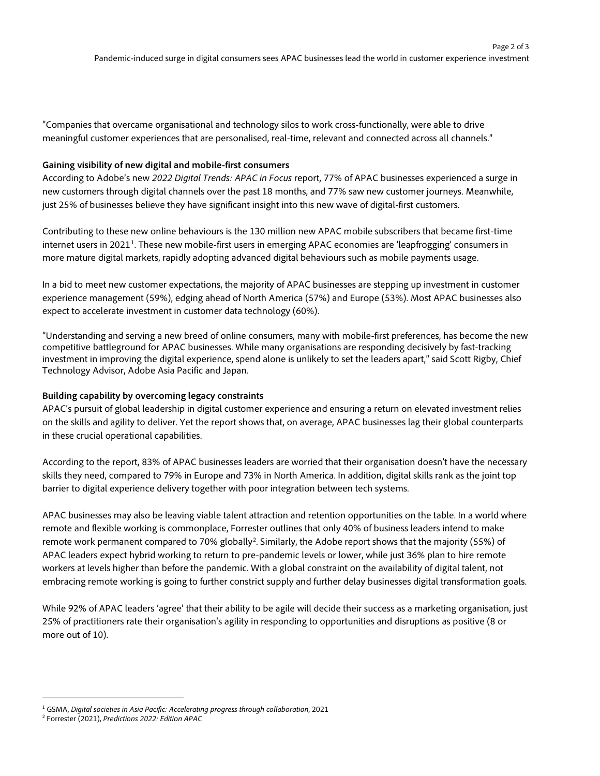"Companies that overcame organisational and technology silos to work cross-functionally, were able to drive meaningful customer experiences that are personalised, real-time, relevant and connected across all channels."

### **Gaining visibility of new digital and mobile-first consumers**

According to Adobe's new *2022 Digital Trends: APAC in Focus* report, 77% of APAC businesses experienced a surge in new customers through digital channels over the past 18 months, and 77% saw new customer journeys. Meanwhile, just 25% of businesses believe they have significant insight into this new wave of digital-first customers.

Contributing to these new online behaviours is the 130 million new APAC mobile subscribers that became first-time internet users in 202[1](#page-1-0)<sup>1</sup>. These new mobile-first users in emerging APAC economies are 'leapfrogging' consumers in more mature digital markets, rapidly adopting advanced digital behaviours such as mobile payments usage.

In a bid to meet new customer expectations, the majority of APAC businesses are stepping up investment in customer experience management (59%), edging ahead of North America (57%) and Europe (53%). Most APAC businesses also expect to accelerate investment in customer data technology (60%).

"Understanding and serving a new breed of online consumers, many with mobile-first preferences, has become the new competitive battleground for APAC businesses. While many organisations are responding decisively by fast-tracking investment in improving the digital experience, spend alone is unlikely to set the leaders apart," said Scott Rigby, Chief Technology Advisor, Adobe Asia Pacific and Japan.

## **Building capability by overcoming legacy constraints**

APAC's pursuit of global leadership in digital customer experience and ensuring a return on elevated investment relies on the skills and agility to deliver. Yet the report shows that, on average, APAC businesses lag their global counterparts in these crucial operational capabilities.

According to the report, 83% of APAC businesses leaders are worried that their organisation doesn't have the necessary skills they need, compared to 79% in Europe and 73% in North America. In addition, digital skills rank as the joint top barrier to digital experience delivery together with poor integration between tech systems.

APAC businesses may also be leaving viable talent attraction and retention opportunities on the table. In a world where remote and flexible working is commonplace, Forrester outlines that only 40% of business leaders intend to make remote work permanent compared to 70% globally<sup>[2](#page-1-1)</sup>. Similarly, the Adobe report shows that the majority (55%) of APAC leaders expect hybrid working to return to pre-pandemic levels or lower, while just 36% plan to hire remote workers at levels higher than before the pandemic. With a global constraint on the availability of digital talent, not embracing remote working is going to further constrict supply and further delay businesses digital transformation goals.

While 92% of APAC leaders 'agree' that their ability to be agile will decide their success as a marketing organisation, just 25% of practitioners rate their organisation's agility in responding to opportunities and disruptions as positive (8 or more out of 10).

<span id="page-1-0"></span><sup>1</sup> GSMA, *Digital societies in Asia Pacific: Accelerating progress through collaboration*, 2021

<span id="page-1-1"></span><sup>2</sup> Forrester (2021), *Predictions 2022: Edition APAC*